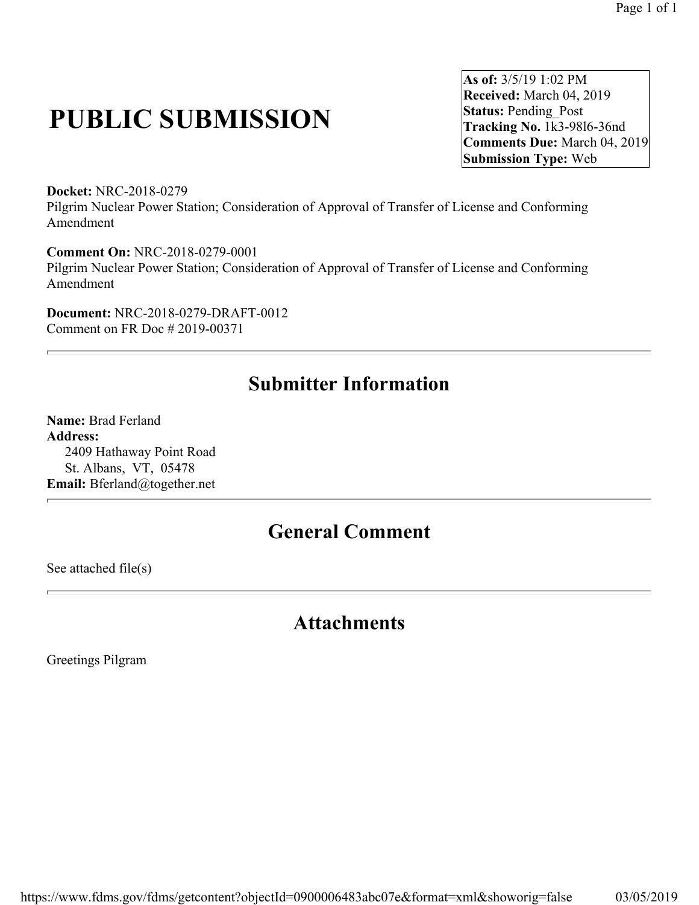# **PUBLIC SUBMISSION**

**As of:** 3/5/19 1:02 PM **Received:** March 04, 2019 **Status:** Pending\_Post **Tracking No.** 1k3-98l6-36nd **Comments Due:** March 04, 2019 **Submission Type:** Web

**Docket:** NRC-2018-0279 Pilgrim Nuclear Power Station; Consideration of Approval of Transfer of License and Conforming Amendment

**Comment On:** NRC-2018-0279-0001 Pilgrim Nuclear Power Station; Consideration of Approval of Transfer of License and Conforming Amendment

**Document:** NRC-2018-0279-DRAFT-0012 Comment on FR Doc # 2019-00371

## **Submitter Information**

**Name:** Brad Ferland **Address:**  2409 Hathaway Point Road St. Albans, VT, 05478 **Email:** Bferland@together.net

### **General Comment**

See attached file(s)

#### **Attachments**

Greetings Pilgram